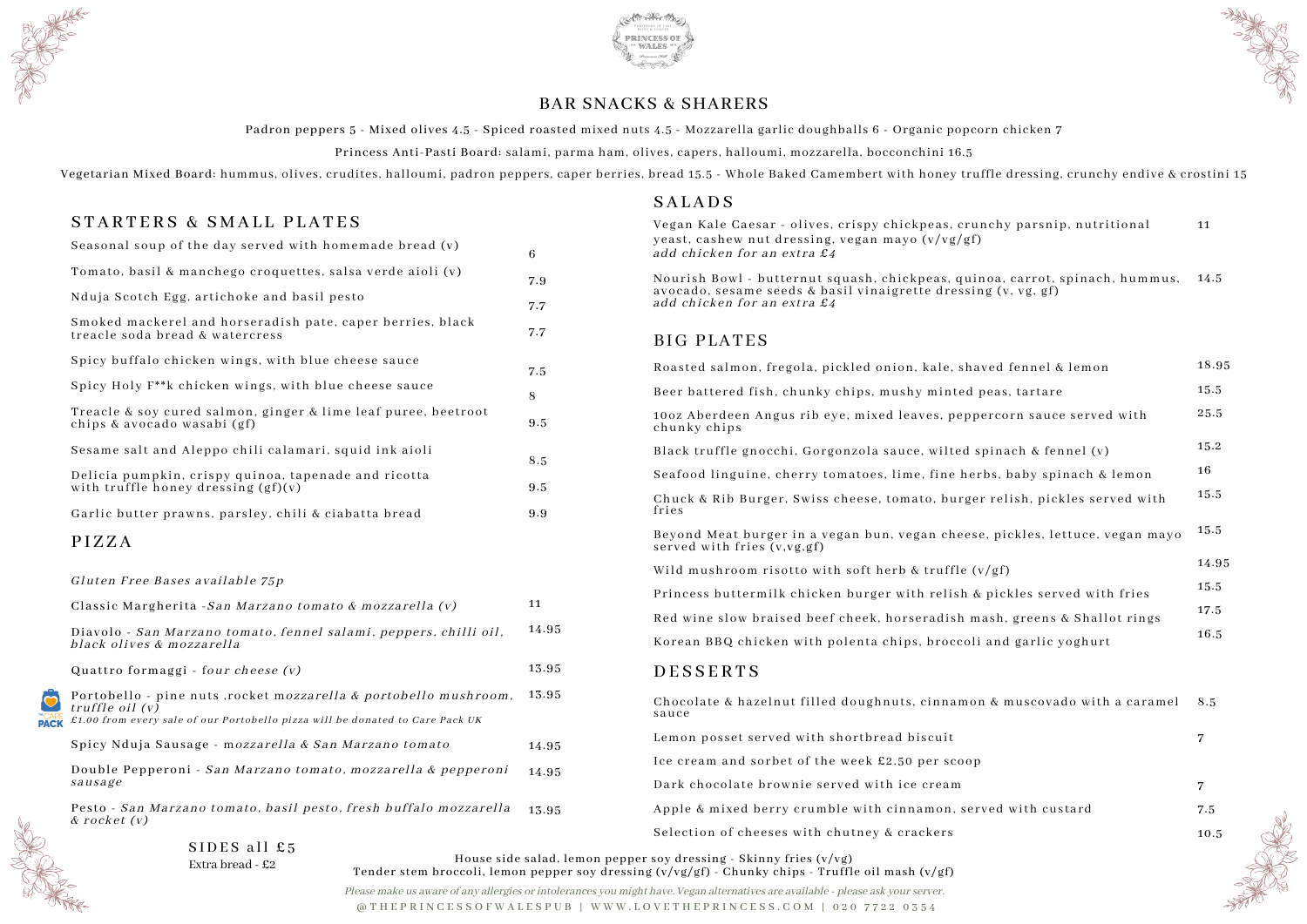Please make us aware of any allergies or intolerances you might have. Vegan alternatives are available - please ask your server. @ T H E P R I N C E S S O F W A L E S P U B | W W W . L O V E T H E P R I N C E S S . C O M | 0 2 0 7 7 2 2 0 3 5 4





Padron peppers 5 - Mixed olives 4.5 - Spiced roasted mixed nuts 4.5 - Mozzarella garlic doughballs 6 - Organic popcorn chicken 7 Princess Anti-Pasti Board: salami, parma ham, olives, capers, halloumi, mozzarella, bocconchini 16.5

Vegetarian Mixed Board: hummus, olives, crudites, halloumi, padron peppers, caper berries, bread 15.5 - Whole Baked Camembert with honey tru

## STARTERS & SMALL PLATES

Smoked mackerel and horseradish pate, caper berries, black treacle soda bread & watercress

Spicy buffalo chicken wings, with blue cheese sauce

Spicy Holy F\*\*k chicken wings, with blue cheese sauce

Treacle & soy cured salmon, ginger & lime leaf puree, beetroot chips & avocado wasabi (gf)

Delicia pumpkin, crispy quinoa, tapenade and ricotta with truffle honey dressing (gf)(v)

Garlic butter prawns, parsley, chili & ciabatta bread

## BAR SNACKS & SHARERS

### **SALADS**

Seasonal soup of the day served with homemade bread (v)

Tomato, basil & manchego croquettes, salsa verde aioli (v)

Nduja Scotch Egg, artichoke and basil pesto

Double Pepperoni - San Marzano tomato, mozzarella & pepperon. sausage

Pesto - San Marzano tomato, basil pesto, fresh buffalo mozzarella & rocket (v)

Sesame salt and Aleppo chili calamari, squid ink aioli

Gluten Free Bases available 75p

Classic Margherita -San Marzano tomato & mozzarella (v)

Diavolo - San Marzano tomato, fennel salami, peppers, chilli oil, black olives & mozzarella

Quattro formaggi - four cheese (v)



Portobello - pine nuts ,rocket mozzarella & portobello mushroom truffle oil (v) £1.00 from every sale of our Portobello pizza will be donated to Care Pack UK

Spicy Nduja Sausage - m*ozzarella & San Marzano tomato* 

|                       | 6     | Vegan Kale Caesar - olives, crispy chickpeas, crunchy parsnip, nutritional<br>yeast, cashew nut dressing, vegan mayo $(v/vg/gf)$<br>add chicken for an extra £4 |
|-----------------------|-------|-----------------------------------------------------------------------------------------------------------------------------------------------------------------|
|                       | 7.9   | Nourish Bowl - butternut squash, chickpeas, quinoa, carrot, spinach, hummus,<br>avocado, sesame seeds & basil vinaigrette dressing (v, vg, gf)                  |
|                       | 7.7   | add chicken for an extra £4                                                                                                                                     |
|                       | 7.7   | BIG PLATES                                                                                                                                                      |
|                       | 7.5   | Roasted salmon, fregola, pickled onion, kale, shaved fennel & lemon                                                                                             |
|                       | 8     | Beer battered fish, chunky chips, mushy minted peas, tartare                                                                                                    |
|                       | 9.5   | 100z Aberdeen Angus rib eye, mixed leaves, peppercorn sauce served with<br>chunky chips                                                                         |
|                       | 8.5   | Black truffle gnocchi, Gorgonzola sauce, wilted spinach & fennel (v)                                                                                            |
|                       |       | Seafood linguine, cherry tomatoes, lime, fine herbs, baby spinach & lemon                                                                                       |
|                       | 9.5   | Chuck & Rib Burger, Swiss cheese, tomato, burger relish, pickles served with<br>fries                                                                           |
|                       | 9.9   | Beyond Meat burger in a vegan bun, vegan cheese, pickles, lettuce, vegan mayo<br>served with fries (v,vg,gf)                                                    |
|                       |       | Wild mushroom risotto with soft herb & truffle $(v/gf)$                                                                                                         |
|                       | 11    | Princess buttermilk chicken burger with relish & pickles served with fries                                                                                      |
|                       |       | Red wine slow braised beef cheek, horseradish mash, greens & Shallot rings                                                                                      |
|                       | 14.95 | Korean BBQ chicken with polenta chips, broccoli and garlic yoghurt                                                                                              |
|                       | 13.95 | DESSERTS                                                                                                                                                        |
| $\boldsymbol{\eta}$ . | 13.95 | Chocolate & hazelnut filled doughnuts, cinnamon & muscovado with a caramel<br>sauce                                                                             |
|                       | 14.95 | Lemon posset served with shortbread biscuit                                                                                                                     |
| $\boldsymbol{j}$      |       | Ice cream and sorbet of the week £2.50 per scoop                                                                                                                |
|                       | 14.95 | Dark chocolate brownie served with ice cream                                                                                                                    |
| $\pmb{\partial}$      | 13.95 | Apple & mixed berry crumble with cinnamon, served with custard                                                                                                  |
|                       |       | Selection of cheeses with chutney & crackers                                                                                                                    |



 $SIDES$  all £5 Extra bread - £2

## P I Z Z A

House side salad, lemon pepper soy dressing - Skinny fries (v/vg) Tender stem broccoli, lemon pepper soy dressing (v/vg/gf) - Chunky chips - Truffle oil mash (v/gf)

| ffle dressing, crunchy endive & crostini 1;     |       |
|-------------------------------------------------|-------|
| nchy parsnip, nutritional                       | 11    |
| noa, carrot, spinach, hummus,<br>ng (v, vg, gf) | 14.5  |
|                                                 |       |
| ıved fennel & lemon                             | 18.95 |
| peas, tartare                                   | 15.5  |
| ercorn sauce served with                        | 25.5  |
| spinach & fennel (v)                            | 15.2  |
| rbs, baby spinach & lemon                       | 16    |
| r relish, pickles served with                   | 15.5  |
| e, pickles, lettuce, vegan mayo                 | 15.5  |
| v/gf                                            | 14.95 |
| pickles served with fries                       | 15.5  |
| iash, greens & Shallot rings                    | 17.5  |
| i and garlic yoghurt                            | 16.5  |
|                                                 |       |
| n & muscovado with a caramel                    | 8.5   |
|                                                 | 7     |
|                                                 |       |
|                                                 | 7     |

7.5 10.5